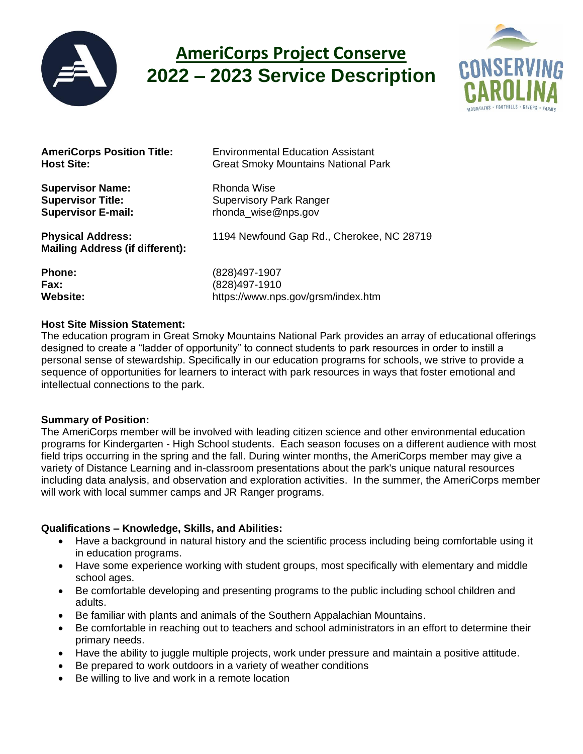

# **AmeriCorps Project Conserve 2022 – 2023 Service Description**



**Supervisor Name:** Rhonda Wise

**Mailing Address (if different):**

**AmeriCorps Position Title:** Environmental Education Assistant **Host Site:** Great Smoky Mountains National Park

**Supervisor Title:** Supervisory Park Ranger **Supervisor E-mail:** Thonda wise@nps.gov

**Physical Address:** 1194 Newfound Gap Rd., Cherokee, NC 28719

| <b>Phone:</b>   |
|-----------------|
| <b>Fax:</b>     |
| <b>Website:</b> |

**Phone:** (828)497-1907 **Fax:** (828)497-1910 **Website:** https://www.nps.gov/grsm/index.htm

## **Host Site Mission Statement:**

The education program in Great Smoky Mountains National Park provides an array of educational offerings designed to create a "ladder of opportunity" to connect students to park resources in order to instill a personal sense of stewardship. Specifically in our education programs for schools, we strive to provide a sequence of opportunities for learners to interact with park resources in ways that foster emotional and intellectual connections to the park.

# **Summary of Position:**

The AmeriCorps member will be involved with leading citizen science and other environmental education programs for Kindergarten - High School students. Each season focuses on a different audience with most field trips occurring in the spring and the fall. During winter months, the AmeriCorps member may give a variety of Distance Learning and in-classroom presentations about the park's unique natural resources including data analysis, and observation and exploration activities. In the summer, the AmeriCorps member will work with local summer camps and JR Ranger programs.

# **Qualifications – Knowledge, Skills, and Abilities:**

- Have a background in natural history and the scientific process including being comfortable using it in education programs.
- Have some experience working with student groups, most specifically with elementary and middle school ages.
- Be comfortable developing and presenting programs to the public including school children and adults.
- Be familiar with plants and animals of the Southern Appalachian Mountains.
- Be comfortable in reaching out to teachers and school administrators in an effort to determine their primary needs.
- Have the ability to juggle multiple projects, work under pressure and maintain a positive attitude.
- Be prepared to work outdoors in a variety of weather conditions
- Be willing to live and work in a remote location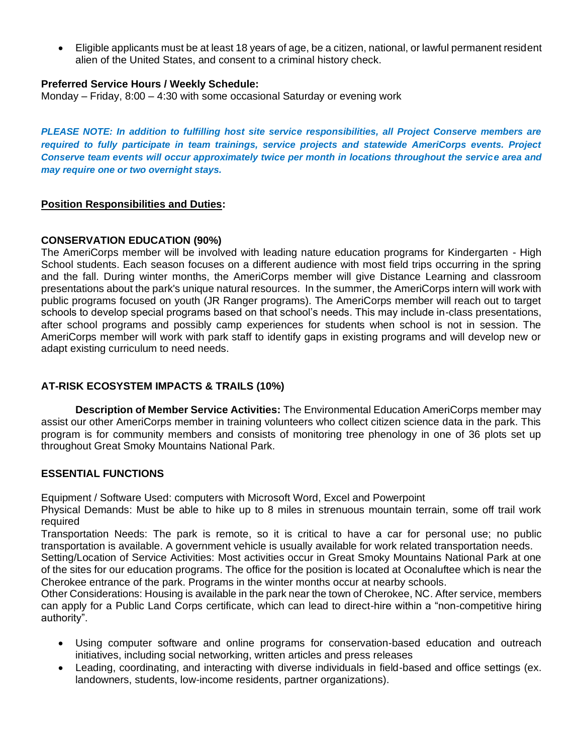• Eligible applicants must be at least 18 years of age, be a citizen, national, or lawful permanent resident alien of the United States, and consent to a criminal history check.

#### **Preferred Service Hours / Weekly Schedule:**

Monday – Friday,  $8:00 - 4:30$  with some occasional Saturday or evening work

*PLEASE NOTE: In addition to fulfilling host site service responsibilities, all Project Conserve members are required to fully participate in team trainings, service projects and statewide AmeriCorps events. Project Conserve team events will occur approximately twice per month in locations throughout the service area and may require one or two overnight stays.*

#### **Position Responsibilities and Duties:**

#### **CONSERVATION EDUCATION (90%)**

The AmeriCorps member will be involved with leading nature education programs for Kindergarten - High School students. Each season focuses on a different audience with most field trips occurring in the spring and the fall. During winter months, the AmeriCorps member will give Distance Learning and classroom presentations about the park's unique natural resources. In the summer, the AmeriCorps intern will work with public programs focused on youth (JR Ranger programs). The AmeriCorps member will reach out to target schools to develop special programs based on that school's needs. This may include in-class presentations, after school programs and possibly camp experiences for students when school is not in session. The AmeriCorps member will work with park staff to identify gaps in existing programs and will develop new or adapt existing curriculum to need needs.

## **AT-RISK ECOSYSTEM IMPACTS & TRAILS (10%)**

**Description of Member Service Activities:** The Environmental Education AmeriCorps member may assist our other AmeriCorps member in training volunteers who collect citizen science data in the park. This program is for community members and consists of monitoring tree phenology in one of 36 plots set up throughout Great Smoky Mountains National Park.

## **ESSENTIAL FUNCTIONS**

Equipment / Software Used: computers with Microsoft Word, Excel and Powerpoint

Physical Demands: Must be able to hike up to 8 miles in strenuous mountain terrain, some off trail work required

Transportation Needs: The park is remote, so it is critical to have a car for personal use; no public transportation is available. A government vehicle is usually available for work related transportation needs.

Setting/Location of Service Activities: Most activities occur in Great Smoky Mountains National Park at one of the sites for our education programs. The office for the position is located at Oconaluftee which is near the Cherokee entrance of the park. Programs in the winter months occur at nearby schools.

Other Considerations: Housing is available in the park near the town of Cherokee, NC. After service, members can apply for a Public Land Corps certificate, which can lead to direct-hire within a "non-competitive hiring authority".

- Using computer software and online programs for conservation-based education and outreach initiatives, including social networking, written articles and press releases
- Leading, coordinating, and interacting with diverse individuals in field-based and office settings (ex. landowners, students, low-income residents, partner organizations).